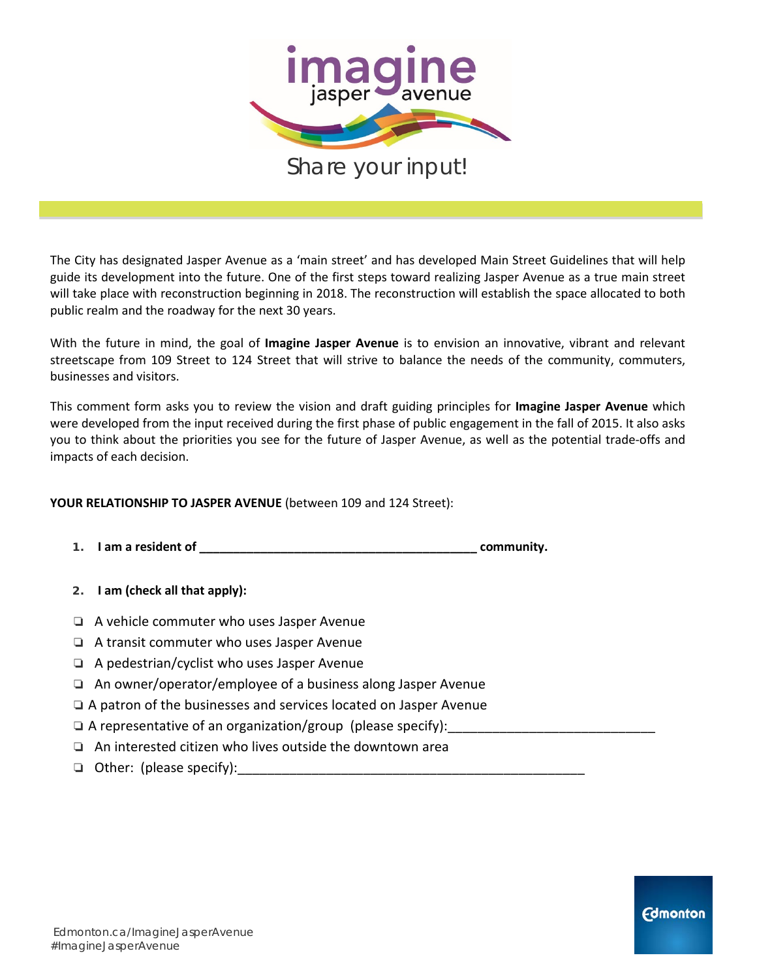

The City has designated Jasper Avenue as a 'main street' and has developed Main Street Guidelines that will help guide its development into the future. One of the first steps toward realizing Jasper Avenue as a true main street will take place with reconstruction beginning in 2018. The reconstruction will establish the space allocated to both public realm and the roadway for the next 30 years.

With the future in mind, the goal of **Imagine Jasper Avenue** is to envision an innovative, vibrant and relevant streetscape from 109 Street to 124 Street that will strive to balance the needs of the community, commuters, businesses and visitors.

This comment form asks you to review the vision and draft guiding principles for **Imagine Jasper Avenue** which were developed from the input received during the first phase of public engagement in the fall of 2015. It also asks you to think about the priorities you see for the future of Jasper Avenue, as well as the potential trade-offs and impacts of each decision.

### **YOUR RELATIONSHIP TO JASPER AVENUE** (between 109 and 124 Street):

- **1. I am a resident of \_\_\_\_\_\_\_\_\_\_\_\_\_\_\_\_\_\_\_\_\_\_\_\_\_\_\_\_\_\_\_\_\_\_\_\_\_\_\_\_\_ community.**
- **2. I am (check all that apply):**
- ❏ A vehicle commuter who uses Jasper Avenue
- ❏ A transit commuter who uses Jasper Avenue
- ❏ A pedestrian/cyclist who uses Jasper Avenue
- ❏ An owner/operator/employee of a business along Jasper Avenue
- ❏ A patron of the businesses and services located on Jasper Avenue
- $\Box$  A representative of an organization/group (please specify):
- ❏ An interested citizen who lives outside the downtown area
- ❏ Other: (please specify):\_\_\_\_\_\_\_\_\_\_\_\_\_\_\_\_\_\_\_\_\_\_\_\_\_\_\_\_\_\_\_\_\_\_\_\_\_\_\_\_\_\_\_\_\_\_\_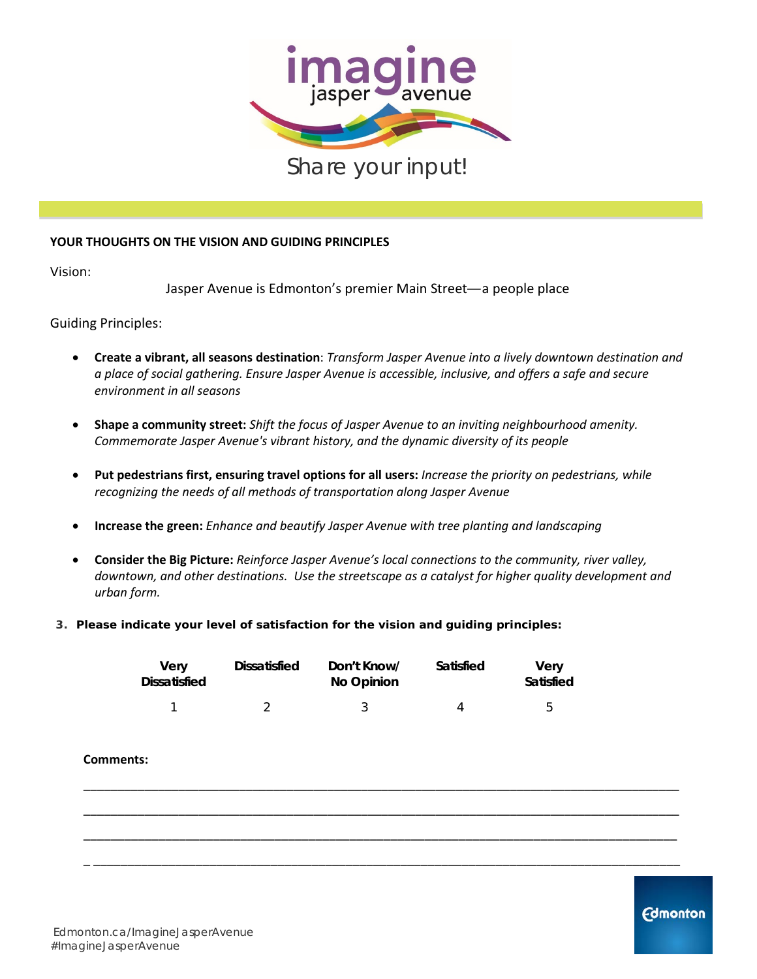

### **YOUR THOUGHTS ON THE VISION AND GUIDING PRINCIPLES**

Vision:

Jasper Avenue is Edmonton's premier Main Street—a people place

Guiding Principles:

- **Create a vibrant, all seasons destination**: *Transform Jasper Avenue into a lively downtown destination and a place of social gathering. Ensure Jasper Avenue is accessible, inclusive, and offers a safe and secure environment in all seasons*
- **Shape a community street:** *Shift the focus of Jasper Avenue to an inviting neighbourhood amenity. Commemorate Jasper Avenue's vibrant history, and the dynamic diversity of its people*
- **Put pedestrians first, ensuring travel options for all users:** *Increase the priority on pedestrians, while recognizing the needs of all methods of transportation along Jasper Avenue*
- **Increase the green:** *Enhance and beautify Jasper Avenue with tree planting and landscaping*
- **Consider the Big Picture:** *Reinforce Jasper Avenue's local connections to the community, river valley, downtown, and other destinations. Use the streetscape as a catalyst for higher quality development and urban form.*
- **3. Please indicate your level of satisfaction for the vision and guiding principles:**

| <b>Verv</b><br><b>Dissatisfied</b> | Dissatisfied | Don't Know/<br>No Opinion | Satisfied | Verv<br>Satisfied |
|------------------------------------|--------------|---------------------------|-----------|-------------------|
|                                    |              |                           |           | $\mathsf{h}$      |

\_\_\_\_\_\_\_\_\_\_\_\_\_\_\_\_\_\_\_\_\_\_\_\_\_\_\_\_\_\_\_\_\_\_\_\_\_\_\_\_\_\_\_\_\_\_\_\_\_\_\_\_\_\_\_\_\_\_\_\_\_\_\_\_\_\_\_\_\_\_\_\_\_\_\_\_\_\_\_\_\_\_\_\_\_\_\_\_

\_\_\_\_\_\_\_\_\_\_\_\_\_\_\_\_\_\_\_\_\_\_\_\_\_\_\_\_\_\_\_\_\_\_\_\_\_\_\_\_\_\_\_\_\_\_\_\_\_\_\_\_\_\_\_\_\_\_\_\_\_\_\_\_\_\_\_\_\_\_\_\_\_\_\_\_\_\_\_\_\_\_\_\_\_\_\_\_

\_\_\_\_\_\_\_\_\_\_\_\_\_\_\_\_\_\_\_\_\_\_\_\_\_\_\_\_\_\_\_\_\_\_\_\_\_\_\_\_\_\_\_\_\_\_\_\_\_\_\_\_\_\_\_\_\_\_\_\_\_\_\_\_\_\_\_\_\_\_\_\_\_\_\_\_\_\_\_\_\_\_\_\_\_\_\_

\_ \_\_\_\_\_\_\_\_\_\_\_\_\_\_\_\_\_\_\_\_\_\_\_\_\_\_\_\_\_\_\_\_\_\_\_\_\_\_\_\_\_\_\_\_\_\_\_\_\_\_\_\_\_\_\_\_\_\_\_\_\_\_\_\_\_\_\_\_\_\_\_\_\_\_\_\_\_\_\_\_\_\_\_\_\_\_

#### **Comments:**

**Edmonton**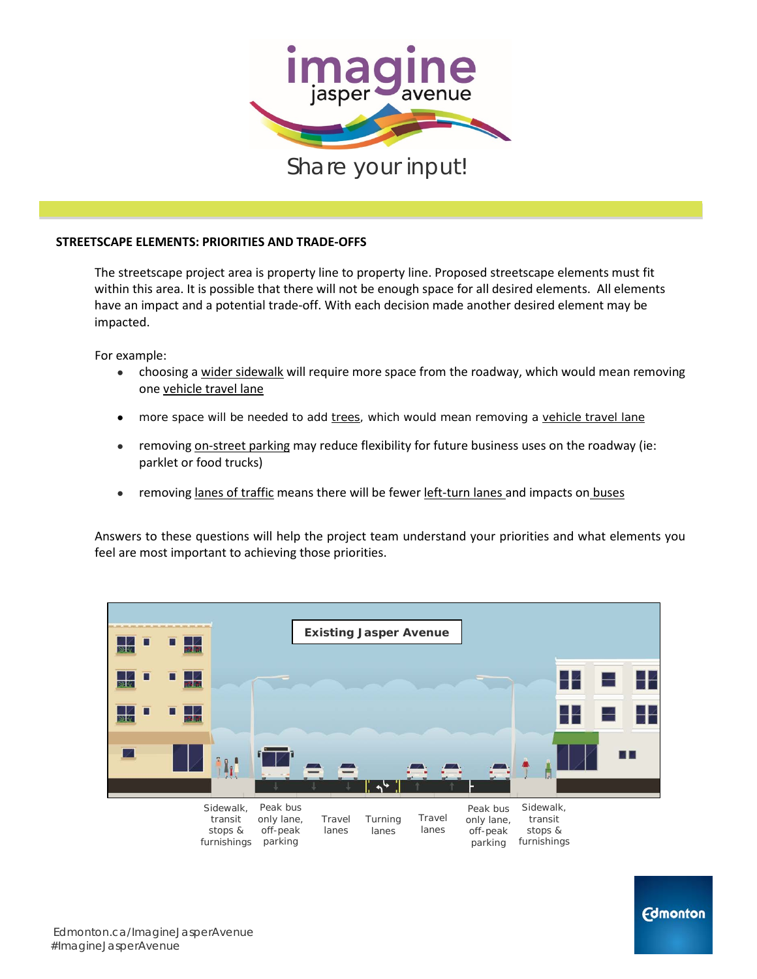

#### **STREETSCAPE ELEMENTS: PRIORITIES AND TRADE-OFFS**

The streetscape project area is property line to property line. Proposed streetscape elements must fit within this area. It is possible that there will not be enough space for all desired elements. All elements have an impact and a potential trade-off. With each decision made another desired element may be impacted.

For example:

- choosing a wider sidewalk will require more space from the roadway, which would mean removing one vehicle travel lane
- more space will be needed to add trees, which would mean removing a vehicle travel lane
- **•** removing on-street parking may reduce flexibility for future business uses on the roadway (ie: parklet or food trucks)
- removing lanes of traffic means there will be fewer left-turn lanes and impacts on buses

Answers to these questions will help the project team understand your priorities and what elements you feel are most important to achieving those priorities.

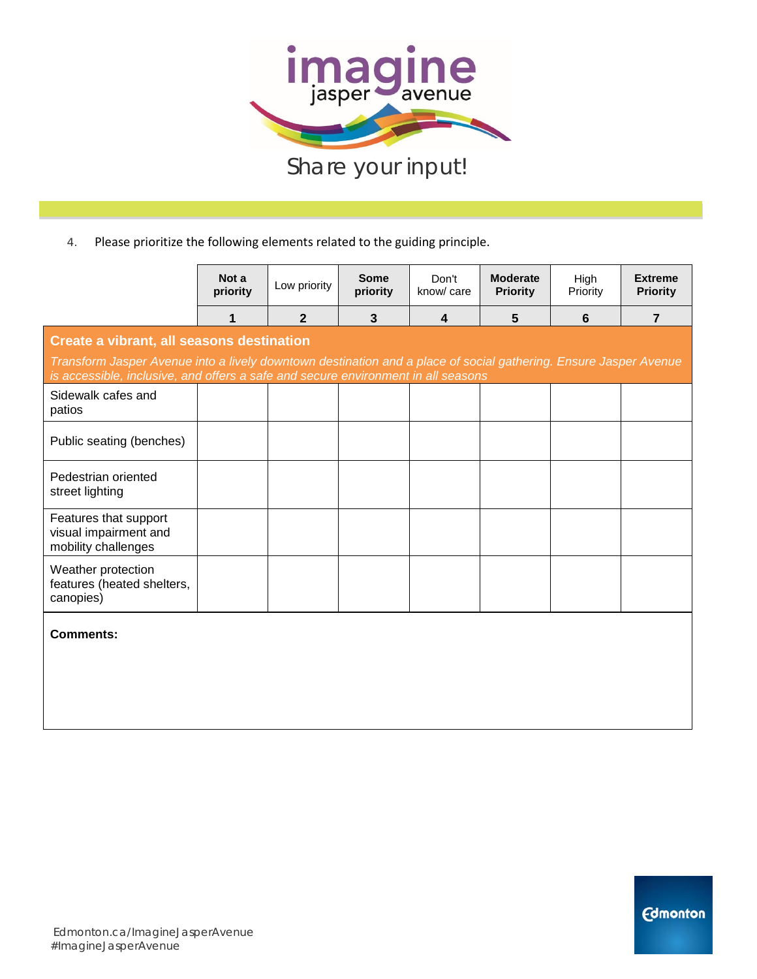

|                                                                                                                                                                                                       | Not a<br>priority | Low priority   | <b>Some</b><br>priority | Don't<br>know/care      | <b>Moderate</b><br><b>Priority</b> | High<br>Priority | <b>Extreme</b><br><b>Priority</b> |  |  |
|-------------------------------------------------------------------------------------------------------------------------------------------------------------------------------------------------------|-------------------|----------------|-------------------------|-------------------------|------------------------------------|------------------|-----------------------------------|--|--|
|                                                                                                                                                                                                       | 1                 | $\overline{2}$ | 3                       | $\overline{\mathbf{4}}$ | 5                                  | $6\phantom{1}6$  | $\overline{7}$                    |  |  |
| Create a vibrant, all seasons destination                                                                                                                                                             |                   |                |                         |                         |                                    |                  |                                   |  |  |
| Transform Jasper Avenue into a lively downtown destination and a place of social gathering. Ensure Jasper Avenue<br>is accessible, inclusive, and offers a safe and secure environment in all seasons |                   |                |                         |                         |                                    |                  |                                   |  |  |
| Sidewalk cafes and<br>patios                                                                                                                                                                          |                   |                |                         |                         |                                    |                  |                                   |  |  |
| Public seating (benches)                                                                                                                                                                              |                   |                |                         |                         |                                    |                  |                                   |  |  |
| Pedestrian oriented<br>street lighting                                                                                                                                                                |                   |                |                         |                         |                                    |                  |                                   |  |  |
| Features that support<br>visual impairment and<br>mobility challenges                                                                                                                                 |                   |                |                         |                         |                                    |                  |                                   |  |  |
| Weather protection<br>features (heated shelters,<br>canopies)                                                                                                                                         |                   |                |                         |                         |                                    |                  |                                   |  |  |
| <b>Comments:</b>                                                                                                                                                                                      |                   |                |                         |                         |                                    |                  |                                   |  |  |
|                                                                                                                                                                                                       |                   |                |                         |                         |                                    |                  |                                   |  |  |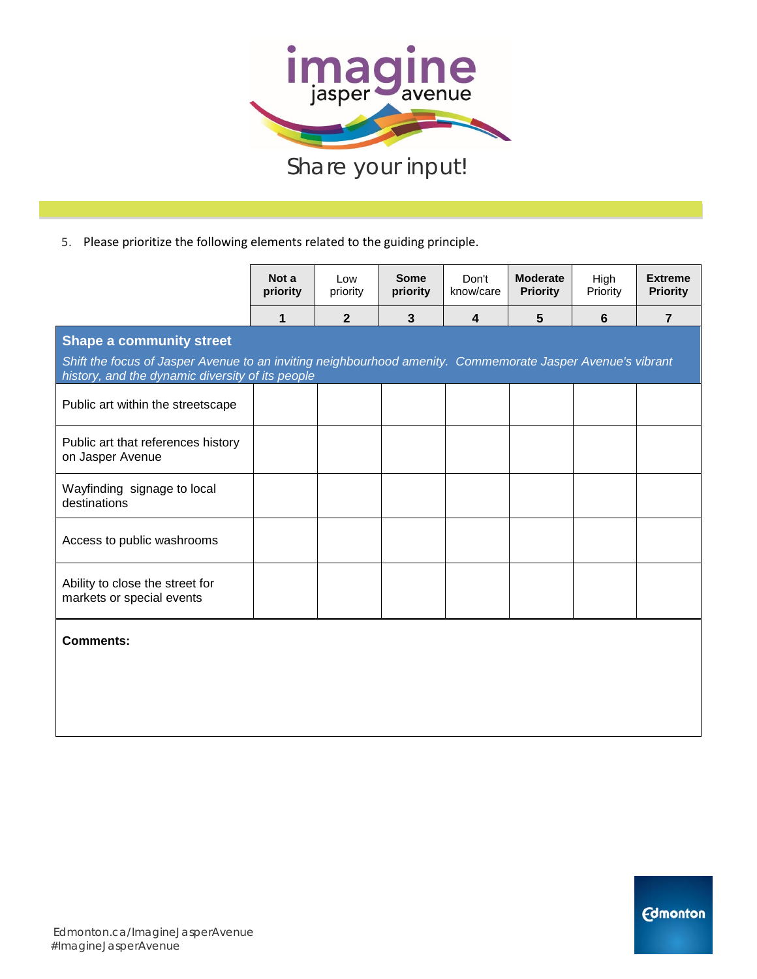

|                                                                                                                                                                | Not a<br>priority | Low<br>priority | <b>Some</b><br>priority | Don't<br>know/care      | <b>Moderate</b><br><b>Priority</b> | High<br>Priority | <b>Extreme</b><br><b>Priority</b> |  |  |
|----------------------------------------------------------------------------------------------------------------------------------------------------------------|-------------------|-----------------|-------------------------|-------------------------|------------------------------------|------------------|-----------------------------------|--|--|
|                                                                                                                                                                | 1                 | $\overline{2}$  | $\mathbf{3}$            | $\overline{\mathbf{4}}$ | 5                                  | $6\phantom{1}$   | $\overline{7}$                    |  |  |
| <b>Shape a community street</b>                                                                                                                                |                   |                 |                         |                         |                                    |                  |                                   |  |  |
| Shift the focus of Jasper Avenue to an inviting neighbourhood amenity. Commemorate Jasper Avenue's vibrant<br>history, and the dynamic diversity of its people |                   |                 |                         |                         |                                    |                  |                                   |  |  |
| Public art within the streetscape                                                                                                                              |                   |                 |                         |                         |                                    |                  |                                   |  |  |
| Public art that references history<br>on Jasper Avenue                                                                                                         |                   |                 |                         |                         |                                    |                  |                                   |  |  |
| Wayfinding signage to local<br>destinations                                                                                                                    |                   |                 |                         |                         |                                    |                  |                                   |  |  |
| Access to public washrooms                                                                                                                                     |                   |                 |                         |                         |                                    |                  |                                   |  |  |
| Ability to close the street for<br>markets or special events                                                                                                   |                   |                 |                         |                         |                                    |                  |                                   |  |  |
| <b>Comments:</b>                                                                                                                                               |                   |                 |                         |                         |                                    |                  |                                   |  |  |
|                                                                                                                                                                |                   |                 |                         |                         |                                    |                  |                                   |  |  |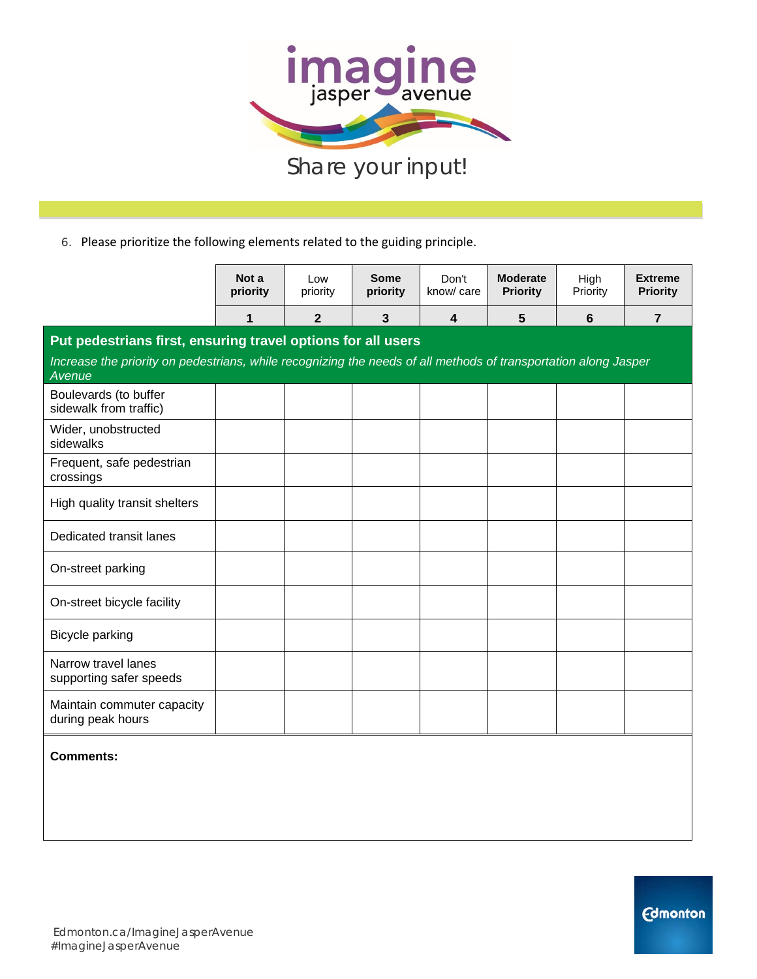

6. Please prioritize the following elements related to the guiding principle.

|                                                                                                                           | Not a<br>priority | Low<br>priority | <b>Some</b><br>priority | Don't<br>know/ care | <b>Moderate</b><br><b>Priority</b> | High<br>Priority | <b>Extreme</b><br><b>Priority</b> |  |  |
|---------------------------------------------------------------------------------------------------------------------------|-------------------|-----------------|-------------------------|---------------------|------------------------------------|------------------|-----------------------------------|--|--|
|                                                                                                                           | 1                 | $\mathbf{2}$    | 3                       | 4                   | $5\phantom{.0}$                    | 6                | $\overline{7}$                    |  |  |
| Put pedestrians first, ensuring travel options for all users                                                              |                   |                 |                         |                     |                                    |                  |                                   |  |  |
| Increase the priority on pedestrians, while recognizing the needs of all methods of transportation along Jasper<br>Avenue |                   |                 |                         |                     |                                    |                  |                                   |  |  |
| Boulevards (to buffer<br>sidewalk from traffic)                                                                           |                   |                 |                         |                     |                                    |                  |                                   |  |  |
| Wider, unobstructed<br>sidewalks                                                                                          |                   |                 |                         |                     |                                    |                  |                                   |  |  |
| Frequent, safe pedestrian<br>crossings                                                                                    |                   |                 |                         |                     |                                    |                  |                                   |  |  |
| High quality transit shelters                                                                                             |                   |                 |                         |                     |                                    |                  |                                   |  |  |
| Dedicated transit lanes                                                                                                   |                   |                 |                         |                     |                                    |                  |                                   |  |  |
| On-street parking                                                                                                         |                   |                 |                         |                     |                                    |                  |                                   |  |  |
| On-street bicycle facility                                                                                                |                   |                 |                         |                     |                                    |                  |                                   |  |  |
| Bicycle parking                                                                                                           |                   |                 |                         |                     |                                    |                  |                                   |  |  |
| Narrow travel lanes<br>supporting safer speeds                                                                            |                   |                 |                         |                     |                                    |                  |                                   |  |  |
| Maintain commuter capacity<br>during peak hours                                                                           |                   |                 |                         |                     |                                    |                  |                                   |  |  |

**Comments:**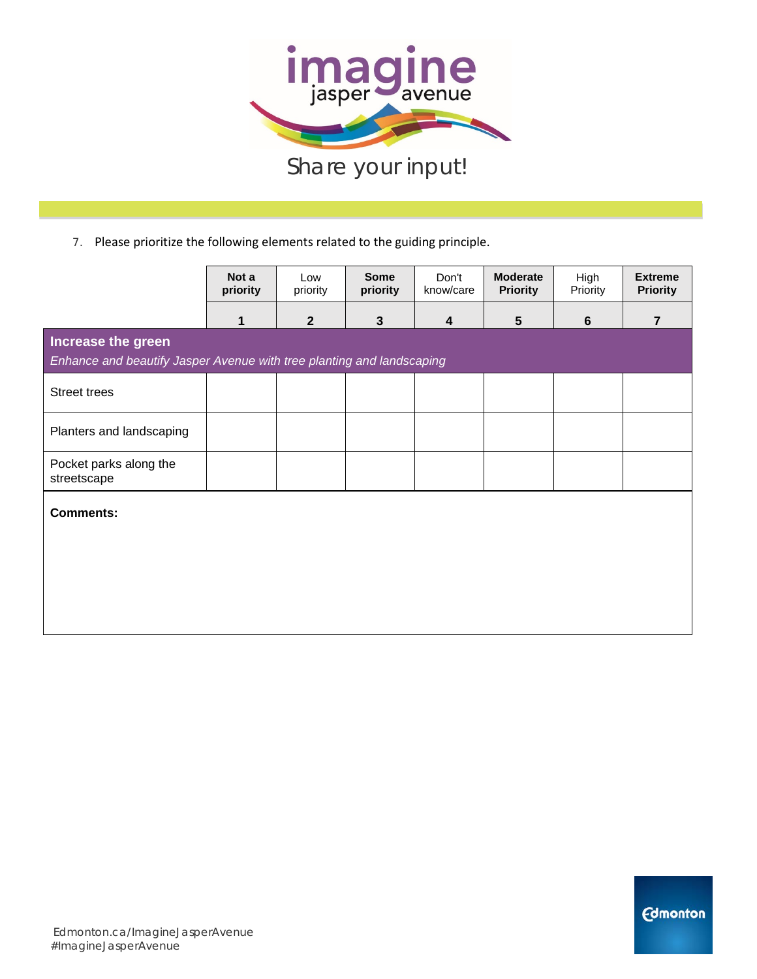

|                                                                                             | Not a<br>priority | Low<br>priority | <b>Some</b><br>priority | Don't<br>know/care | <b>Moderate</b><br><b>Priority</b> | High<br>Priority | <b>Extreme</b><br><b>Priority</b> |  |
|---------------------------------------------------------------------------------------------|-------------------|-----------------|-------------------------|--------------------|------------------------------------|------------------|-----------------------------------|--|
|                                                                                             | 1                 | $\mathbf{2}$    | $\mathbf{3}$            | 4                  | 5                                  | $\boldsymbol{6}$ | $\overline{7}$                    |  |
| Increase the green<br>Enhance and beautify Jasper Avenue with tree planting and landscaping |                   |                 |                         |                    |                                    |                  |                                   |  |
| <b>Street trees</b>                                                                         |                   |                 |                         |                    |                                    |                  |                                   |  |
| Planters and landscaping                                                                    |                   |                 |                         |                    |                                    |                  |                                   |  |
| Pocket parks along the<br>streetscape                                                       |                   |                 |                         |                    |                                    |                  |                                   |  |
| Comments:                                                                                   |                   |                 |                         |                    |                                    |                  |                                   |  |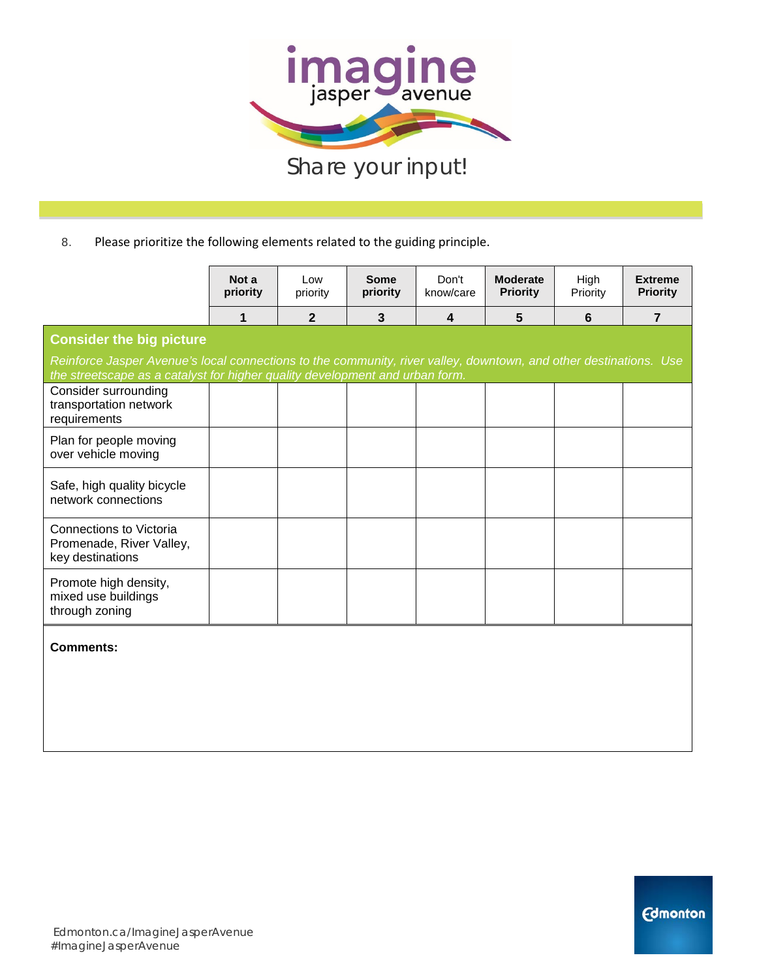

|                                                                                                                                                      | Not a<br>priority | Low<br>priority | Some<br>priority | Don't<br>know/care | <b>Moderate</b><br><b>Priority</b> | High<br>Priority | <b>Extreme</b><br><b>Priority</b> |
|------------------------------------------------------------------------------------------------------------------------------------------------------|-------------------|-----------------|------------------|--------------------|------------------------------------|------------------|-----------------------------------|
|                                                                                                                                                      | 1                 | $\mathbf{2}$    | 3                | $\overline{4}$     | 5                                  | 6                | $\overline{7}$                    |
| <b>Consider the big picture</b><br>Reinforce Jasper Avenue's local connections to the community, river valley, downtown, and other destinations. Use |                   |                 |                  |                    |                                    |                  |                                   |
| the streetscape as a catalyst for higher quality development and urban form.<br>Consider surrounding<br>transportation network<br>requirements       |                   |                 |                  |                    |                                    |                  |                                   |
| Plan for people moving<br>over vehicle moving                                                                                                        |                   |                 |                  |                    |                                    |                  |                                   |
| Safe, high quality bicycle<br>network connections                                                                                                    |                   |                 |                  |                    |                                    |                  |                                   |
| Connections to Victoria<br>Promenade, River Valley,<br>key destinations                                                                              |                   |                 |                  |                    |                                    |                  |                                   |
| Promote high density,<br>mixed use buildings<br>through zoning                                                                                       |                   |                 |                  |                    |                                    |                  |                                   |
| <b>Comments:</b>                                                                                                                                     |                   |                 |                  |                    |                                    |                  |                                   |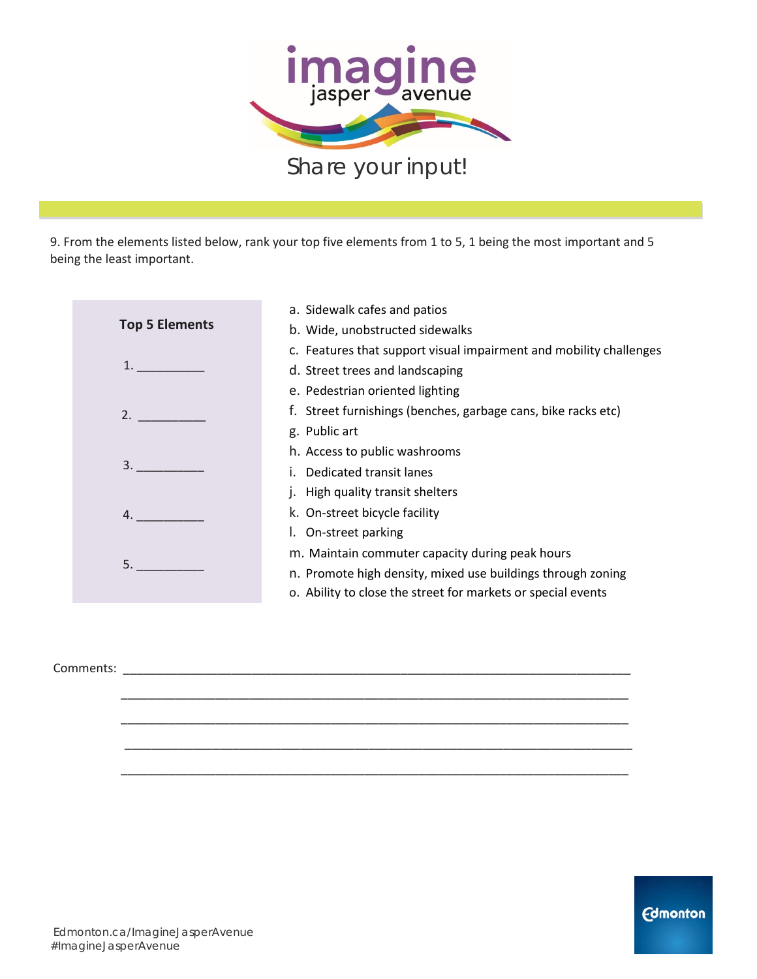

9. From the elements listed below, rank your top five elements from 1 to 5, 1 being the most important and 5 being the least important.

| a. Sidewalk cafes and patios                                       |
|--------------------------------------------------------------------|
| b. Wide, unobstructed sidewalks                                    |
| c. Features that support visual impairment and mobility challenges |
| d. Street trees and landscaping                                    |
| e. Pedestrian oriented lighting                                    |
| f. Street furnishings (benches, garbage cans, bike racks etc)      |
| g. Public art                                                      |
| h. Access to public washrooms                                      |
| i. Dedicated transit lanes                                         |
| j. High quality transit shelters                                   |
| k. On-street bicycle facility                                      |
| I. On-street parking                                               |
| m. Maintain commuter capacity during peak hours                    |
| n. Promote high density, mixed use buildings through zoning        |
| o. Ability to close the street for markets or special events       |
|                                                                    |

\_\_\_\_\_\_\_\_\_\_\_\_\_\_\_\_\_\_\_\_\_\_\_\_\_\_\_\_\_\_\_\_\_\_\_\_\_\_\_\_\_\_\_\_\_\_\_\_\_\_\_\_\_\_\_\_\_\_\_\_\_\_\_\_\_\_\_\_\_\_\_\_\_\_\_

\_\_\_\_\_\_\_\_\_\_\_\_\_\_\_\_\_\_\_\_\_\_\_\_\_\_\_\_\_\_\_\_\_\_\_\_\_\_\_\_\_\_\_\_\_\_\_\_\_\_\_\_\_\_\_\_\_\_\_\_\_\_\_\_\_\_\_\_\_\_\_\_\_\_\_

\_\_\_\_\_\_\_\_\_\_\_\_\_\_\_\_\_\_\_\_\_\_\_\_\_\_\_\_\_\_\_\_\_\_\_\_\_\_\_\_\_\_\_\_\_\_\_\_\_\_\_\_\_\_\_\_\_\_\_\_\_\_\_\_\_\_\_\_\_\_\_\_\_\_\_

\_\_\_\_\_\_\_\_\_\_\_\_\_\_\_\_\_\_\_\_\_\_\_\_\_\_\_\_\_\_\_\_\_\_\_\_\_\_\_\_\_\_\_\_\_\_\_\_\_\_\_\_\_\_\_\_\_\_\_\_\_\_\_\_\_\_\_\_\_\_\_\_\_\_\_

Comments: \_\_\_\_\_\_\_\_\_\_\_\_\_\_\_\_\_\_\_\_\_\_\_\_\_\_\_\_\_\_\_\_\_\_\_\_\_\_\_\_\_\_\_\_\_\_\_\_\_\_\_\_\_\_\_\_\_\_\_\_\_\_\_\_\_\_\_\_\_\_\_\_\_\_\_